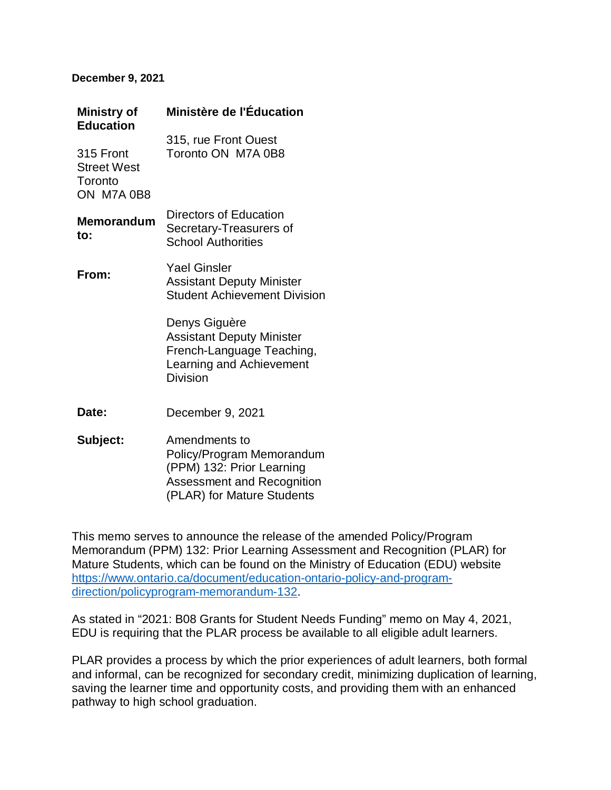## **December 9, 2021**

| <b>Ministry of</b><br><b>Education</b>                   | Ministère de l'Éducation                                                                                                      |
|----------------------------------------------------------|-------------------------------------------------------------------------------------------------------------------------------|
| 315 Front<br><b>Street West</b><br>Toronto<br>ON M7A 0B8 | 315, rue Front Ouest<br>Toronto ON M7A 0B8                                                                                    |
| <b>Memorandum</b><br>to:                                 | Directors of Education<br>Secretary-Treasurers of<br><b>School Authorities</b>                                                |
| From:                                                    | <b>Yael Ginsler</b><br><b>Assistant Deputy Minister</b><br><b>Student Achievement Division</b>                                |
|                                                          | Denys Giguère<br><b>Assistant Deputy Minister</b><br>French-Language Teaching,<br>Learning and Achievement<br><b>Division</b> |
| Date:                                                    | December 9, 2021                                                                                                              |
| Subject:                                                 | Amendments to<br>Policy/Program Memorandum<br>(PPM) 132: Prior Learning<br>Accordmont and Pocognition                         |

Assessment and Recognition (PLAR) for Mature Students

This memo serves to announce the release of the amended Policy/Program Memorandum (PPM) 132: Prior Learning Assessment and Recognition (PLAR) for Mature Students, which can be found on the Ministry of Education (EDU) website [https://www.ontario.ca/document/education-ontario-policy-and-program](https://www.ontario.ca/document/education-ontario-policy-and-program-direction/policyprogram-memorandum-132)[direction/policyprogram-memorandum-132.](https://www.ontario.ca/document/education-ontario-policy-and-program-direction/policyprogram-memorandum-132)

As stated in "2021: B08 Grants for Student Needs Funding" memo on May 4, 2021, EDU is requiring that the PLAR process be available to all eligible adult learners.

PLAR provides a process by which the prior experiences of adult learners, both formal and informal, can be recognized for secondary credit, minimizing duplication of learning, saving the learner time and opportunity costs, and providing them with an enhanced pathway to high school graduation.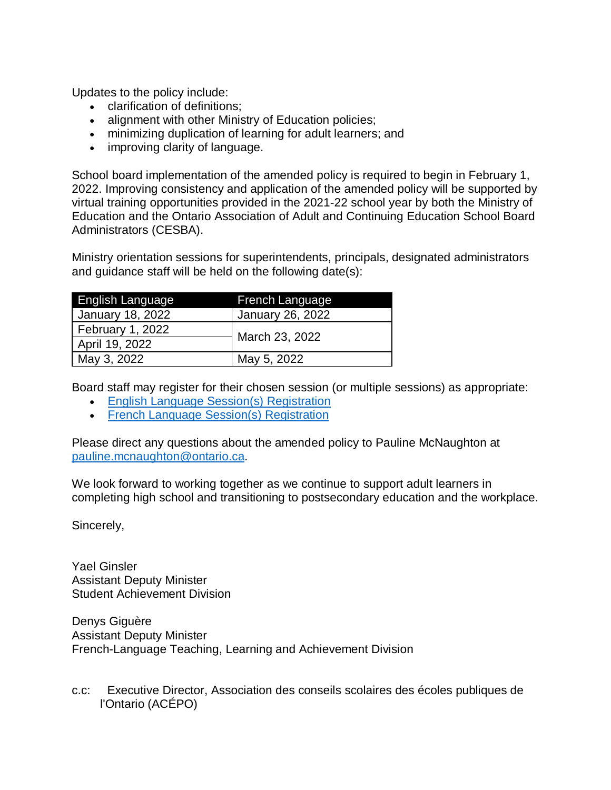Updates to the policy include:

- clarification of definitions;
- alignment with other Ministry of Education policies;
- minimizing duplication of learning for adult learners; and
- improving clarity of language.

School board implementation of the amended policy is required to begin in February 1, 2022. Improving consistency and application of the amended policy will be supported by virtual training opportunities provided in the 2021-22 school year by both the Ministry of Education and the Ontario Association of Adult and Continuing Education School Board Administrators (CESBA).

Ministry orientation sessions for superintendents, principals, designated administrators and guidance staff will be held on the following date(s):

| English Language | <b>French Language</b> |
|------------------|------------------------|
| January 18, 2022 | January 26, 2022       |
| February 1, 2022 | March 23, 2022         |
| April 19, 2022   |                        |
| May 3, 2022      | May 5, 2022            |

Board staff may register for their chosen session (or multiple sessions) as appropriate:

- [English Language Session\(s\) Registration](https://forms.office.com/r/53jDDzpbMh)
- [French Language Session\(s\) Registration](https://forms.office.com/r/c7DFQxSQTj)

Please direct any questions about the amended policy to Pauline McNaughton at [pauline.mcnaughton@ontario.ca.](mailto:pauline.mcnaughton@ontario.ca)

We look forward to working together as we continue to support adult learners in completing high school and transitioning to postsecondary education and the workplace.

Sincerely,

Yael Ginsler Assistant Deputy Minister Student Achievement Division

Denys Giguère Assistant Deputy Minister French-Language Teaching, Learning and Achievement Division

c.c: Executive Director, Association des conseils scolaires des écoles publiques de l'Ontario (ACÉPO)